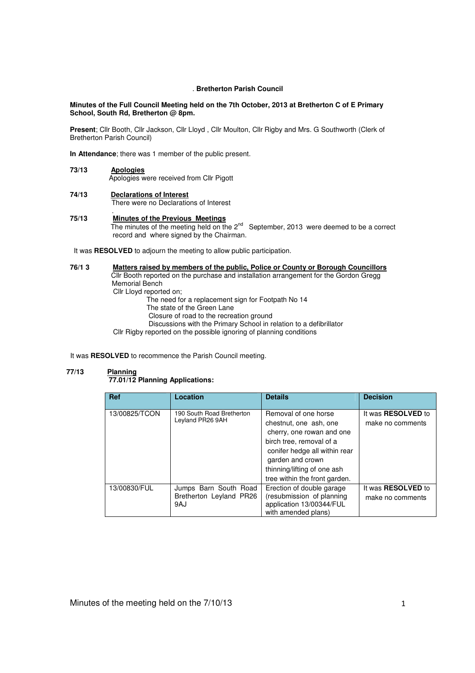## . **Bretherton Parish Council**

## **Minutes of the Full Council Meeting held on the 7th October, 2013 at Bretherton C of E Primary School, South Rd, Bretherton @ 8pm.**

**Present**; Cllr Booth, Cllr Jackson, Cllr Lloyd , Cllr Moulton, Cllr Rigby and Mrs. G Southworth (Clerk of Bretherton Parish Council)

**In Attendance**; there was 1 member of the public present.

## **73/13 Apologies**

Apologies were received from Cllr Pigott

## **74/13 Declarations of Interest** There were no Declarations of Interest

### . **75/13 Minutes of the Previous Meetings** The minutes of the meeting held on the 2<sup>nd</sup> September, 2013 were deemed to be a correct record and where signed by the Chairman.

It was **RESOLVED** to adjourn the meeting to allow public participation.

## **76/1 3 Matters raised by members of the public, Police or County or Borough Councillors**  Cllr Booth reported on the purchase and installation arrangement for the Gordon Gregg Memorial Bench

Cllr Lloyd reported on;

The need for a replacement sign for Footpath No 14

- The state of the Green Lane
- Closure of road to the recreation ground

Discussions with the Primary School in relation to a defibrillator

Cllr Rigby reported on the possible ignoring of planning conditions

It was **RESOLVED** to recommence the Parish Council meeting.

# **77/13 Planning**

## **77.01/12 Planning Applications:**

| <b>Ref</b>    | Location                                                | <b>Details</b>                                                                                                                                                                                                               | <b>Decision</b>                               |
|---------------|---------------------------------------------------------|------------------------------------------------------------------------------------------------------------------------------------------------------------------------------------------------------------------------------|-----------------------------------------------|
| 13/00825/TCON | 190 South Road Bretherton<br>Leyland PR26 9AH           | Removal of one horse<br>chestnut, one ash, one<br>cherry, one rowan and one<br>birch tree, removal of a<br>conifer hedge all within rear<br>garden and crown<br>thinning/lifting of one ash<br>tree within the front garden. | It was <b>RESOLVED</b> to<br>make no comments |
| 13/00830/FUL  | Jumps Barn South Road<br>Bretherton Leyland PR26<br>9AJ | Erection of double garage<br>(resubmission of planning)<br>application 13/00344/FUL<br>with amended plans)                                                                                                                   | It was <b>RESOLVED</b> to<br>make no comments |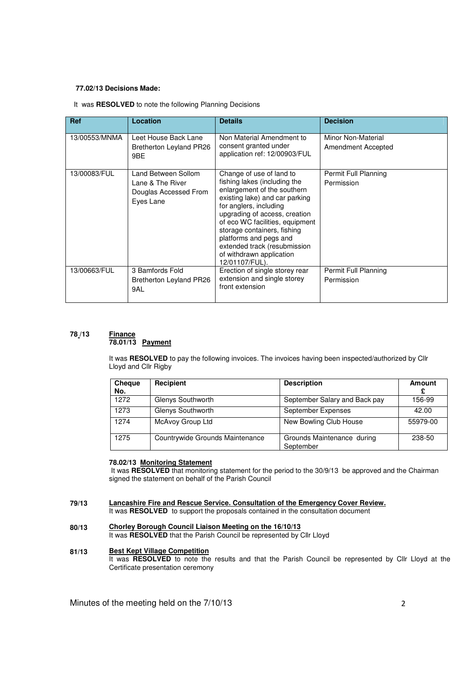# **77.02/13 Decisions Made:**

## It was **RESOLVED** to note the following Planning Decisions

| <b>Ref</b>    | Location                                               | <b>Details</b>                                                                                                                                                                                                                                                                                                                     | <b>Decision</b>      |  |
|---------------|--------------------------------------------------------|------------------------------------------------------------------------------------------------------------------------------------------------------------------------------------------------------------------------------------------------------------------------------------------------------------------------------------|----------------------|--|
| 13/00553/MNMA | Leet House Back Lane                                   | Non Material Amendment to                                                                                                                                                                                                                                                                                                          | Minor Non-Material   |  |
|               | Bretherton Leyland PR26<br>9BE                         | consent granted under<br>application ref: 12/00903/FUL                                                                                                                                                                                                                                                                             | Amendment Accepted   |  |
| 13/00083/FUL  | Land Between Sollom                                    | Change of use of land to                                                                                                                                                                                                                                                                                                           | Permit Full Planning |  |
|               | Lane & The River<br>Douglas Accessed From<br>Eyes Lane | fishing lakes (including the<br>enlargement of the southern<br>existing lake) and car parking<br>for anglers, including<br>upgrading of access, creation<br>of eco WC facilities, equipment<br>storage containers, fishing<br>platforms and pegs and<br>extended track (resubmission<br>of withdrawn application<br>12/01107/FUL). | Permission           |  |
| 13/00663/FUL  | 3 Bamfords Fold                                        | Erection of single storey rear                                                                                                                                                                                                                                                                                                     | Permit Full Planning |  |
|               | Bretherton Leyland PR26<br>9AL                         | extension and single storey<br>front extension                                                                                                                                                                                                                                                                                     | Permission           |  |

#### **78 /13 Finance 78.01/13 Payment**

It was **RESOLVED** to pay the following invoices. The invoices having been inspected/authorized by Cllr Lloyd and Cllr Rigby

| <b>Cheque</b><br>No. | Recipient                       | <b>Description</b>                      | Amount   |
|----------------------|---------------------------------|-----------------------------------------|----------|
| 1272                 | Glenys Southworth               | September Salary and Back pay           | 156-99   |
| 1273                 | Glenys Southworth               | September Expenses                      | 42.00    |
| 1274                 | McAvoy Group Ltd                | New Bowling Club House                  | 55979-00 |
| 1275                 | Countrywide Grounds Maintenance | Grounds Maintenance during<br>September | 238-50   |

# **78.02/13 Monitoring Statement**

 It was **RESOLVED** that monitoring statement for the period to the 30/9/13 be approved and the Chairman signed the statement on behalf of the Parish Council

### **79/13 Lancashire Fire and Rescue Service. Consultation of the Emergency Cover Review.**

It was RESOLVED to support the proposals contained in the consultation document

#### **80/13 Chorley Borough Council Liaison Meeting on the 16/10/13**

It was **RESOLVED** that the Parish Council be represented by Cllr Lloyd

#### **81/13 Best Kept Village Competition**

It was **RESOLVED** to note the results and that the Parish Council be represented by Cllr Lloyd at the Certificate presentation ceremony